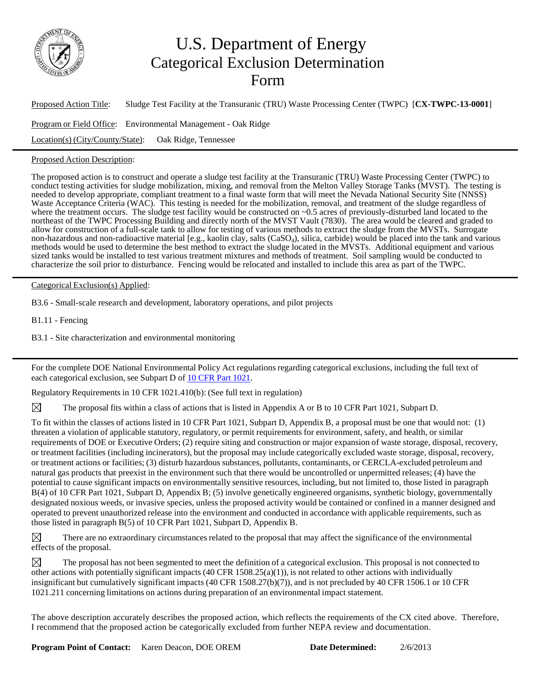

## U.S. Department of Energy Categorical Exclusion Determination Form

Proposed Action Title: Sludge Test Facility at the Transuranic (TRU) Waste Processing Center (TWPC) [**CX-TWPC-13-0001**] Program or Field Office: Environmental Management - Oak Ridge Location(s) (City/County/State): Oak Ridge, Tennessee

## Proposed Action Description:

The proposed action is to construct and operate a sludge test facility at the Transuranic (TRU) Waste Processing Center (TWPC) to conduct testing activities for sludge mobilization, mixing, and removal from the Melton Valley Storage Tanks (MVST). The testing is needed to develop appropriate, compliant treatment to a final waste form that will meet the Nevada National Security Site (NNSS) Waste Acceptance Criteria (WAC). This testing is needed for the mobilization, removal, and treatment of the sludge regardless of where the treatment occurs. The sludge test facility would be constructed on  $\sim 0.5$  acres of previously-disturbed land located to the northeast of the TWPC Processing Building and directly north of the MVST Vault (7830). The area would be cleared and graded to allow for construction of a full-scale tank to allow for testing of various methods to extract the sludge from the MVSTs. Surrogate non-hazardous and non-radioactive material [e.g., kaolin clay, salts (CaSO4), silica, carbide) would be placed into the tank and various methods would be used to determine the best method to extract the sludge located in the MVSTs. Additional equipment and various sized tanks would be installed to test various treatment mixtures and methods of treatment. Soil sampling would be conducted to characterize the soil prior to disturbance. Fencing would be relocated and installed to include this area as part of the TWPC.

Categorical Exclusion(s) Applied:

B3.6 - Small-scale research and development, laboratory operations, and pilot projects

B1.11 - Fencing

B3.1 - Site characterization and environmental monitoring

For the complete DOE National Environmental Policy Act regulations regarding categorical exclusions, including the full text of each categorical exclusion, see Subpart D of 10 CFR Part 1021.

Regulatory Requirements in 10 CFR 1021.410(b): (See full text in regulation)

The proposal fits within a class of actions that is listed in Appendix A or B to 10 CFR Part 1021, Subpart D.

To fit within the classes of actions listed in 10 CFR Part 1021, Subpart D, Appendix B, a proposal must be one that would not: (1) threaten a violation of applicable statutory, regulatory, or permit requirements for environment, safety, and health, or similar requirements of DOE or Executive Orders; (2) require siting and construction or major expansion of waste storage, disposal, recovery, or treatment facilities (including incinerators), but the proposal may include categorically excluded waste storage, disposal, recovery, or treatment actions or facilities; (3) disturb hazardous substances, pollutants, contaminants, or CERCLA-excluded petroleum and natural gas products that preexist in the environment such that there would be uncontrolled or unpermitted releases; (4) have the potential to cause significant impacts on environmentally sensitive resources, including, but not limited to, those listed in paragraph B(4) of 10 CFR Part 1021, Subpart D, Appendix B; (5) involve genetically engineered organisms, synthetic biology, governmentally designated noxious weeds, or invasive species, unless the proposed activity would be contained or confined in a manner designed and operated to prevent unauthorized release into the environment and conducted in accordance with applicable requirements, such as those listed in paragraph B(5) of 10 CFR Part 1021, Subpart D, Appendix B.

 $\boxtimes$  There are no extraordinary circumstances related to the proposal that may affect the significance of the environmental effects of the proposal.

 $\boxtimes$  The proposal has not been segmented to meet the definition of a categorical exclusion. This proposal is not connected to other actions with potentially significant impacts (40 CFR 1508.25(a)(1)), is not related to other actions with individually insignificant but cumulatively significant impacts (40 CFR 1508.27(b)(7)), and is not precluded by 40 CFR 1506.1 or 10 CFR 1021.211 concerning limitations on actions during preparation of an environmental impact statement.

The above description accurately describes the proposed action, which reflects the requirements of the CX cited above. Therefore, I recommend that the proposed action be categorically excluded from further NEPA review and documentation.

**Program Point of Contact:** Karen Deacon, DOE OREM **Date Determined:** 2/6/2013